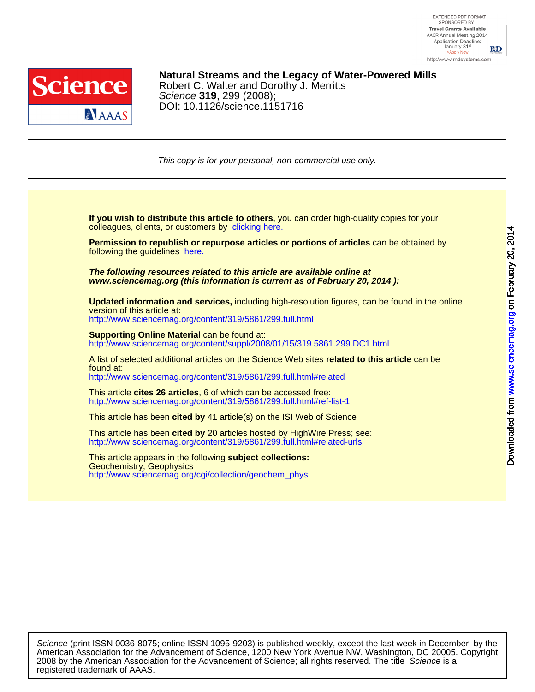

## DOI: 10.1126/science.1151716 Science **319**[, 299 \(2008\);](http://www.sciencemag.org/content/319/5861/299.full.html#ref-list-1) Robert C. Walter and Dorothy J. Merritts **Natural Streams and the Legacy of Water-Powered Mills**

This copy is for your personal, non-commercial use only.

colleagues, clients, or customers by [clicking here.](http://www.sciencemag.org/about/permissions.dtl) **If you wish to distribute this article to others**, you can order high-quality copies for your

following the guidelines [here.](http://www.sciencemag.org/about/permissions.dtl) **Permission to republ[ish or repurpose articles or portions of articles](http://www.sciencemag.org/cgi/collection/geochem_phys)** can be obtained by

**www.sciencemag.org (this information is current as of February 20, 2014 ): The following resources related to this article are available online at**

version of this article at: **Updated information and services,** including high-resolution figures, can be found in the online

<http://www.sciencemag.org/content/319/5861/299.full.html>

[http://www.sciencemag.org/content/suppl/2008/01/15/319.5861.299.DC1.html](http://www.sciencemag.org/content/suppl/2008/01/15/319.5861.299.DC1.html )  **Supporting Online Material can be found at:** 

<http://www.sciencemag.org/content/319/5861/299.full.html#related> found at: A list of selected additional articles on the Science Web sites **related to this article** can be

<http://www.sciencemag.org/content/319/5861/299.full.html#ref-list-1> This article **cites 26 articles**, 6 of which can be accessed free:

This article has been **cited by** 41 article(s) on the ISI Web of Science

<http://www.sciencemag.org/content/319/5861/299.full.html#related-urls> This article has been **cited by** 20 articles hosted by HighWire Press; see:

[http://www.sciencemag.org/cgi/collection/geochem\\_phys](http://www.sciencemag.org/cgi/collection/geochem_phys) Geochemistry, Geophysics This article appears in the following **subject collections:**

registered trademark of AAAS. 2008 by the American Association for the Advancement of Science; all rights reserved. The title Science is a American Association for the Advancement of Science, 1200 New York Avenue NW, Washington, DC 20005. Copyright Science (print ISSN 0036-8075; online ISSN 1095-9203) is published weekly, except the last week in December, by the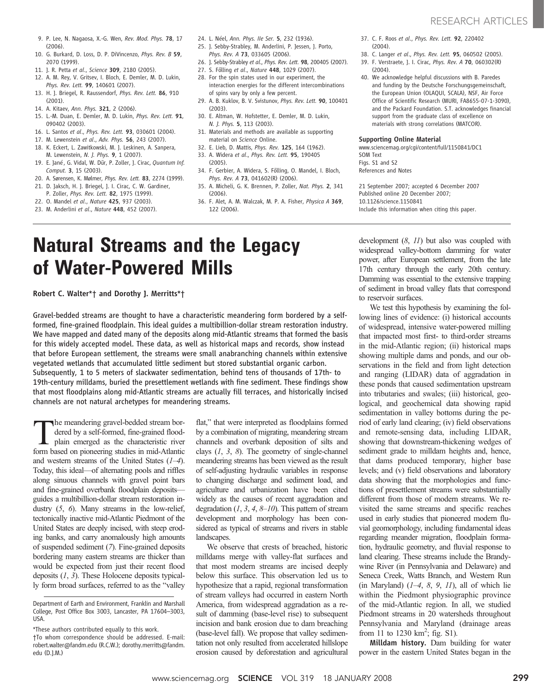RESEARCH ARTICLES

- 9. P. Lee, N. Nagaosa, X.-G. Wen, Rev. Mod. Phys. 78, 17 (2006).
- 10. G. Burkard, D. Loss, D. P. DiVincenzo, Phys. Rev. B 59, 2070 (1999).
- 11. I. R. Petta et al., Science 309, 2180 (2005).
- 12. A. M. Rey, V. Gritsev, I. Bloch, E. Demler, M. D. Lukin, Phys. Rev. Lett. 99, 140601 (2007).
- 13. H. J. Briegel, R. Raussendorf, Phys. Rev. Lett. 86, 910 (2001).
- 14. A. Kitaev, Ann. Phys. 321, 2 (2006).
- 15. L.-M. Duan, E. Demler, M. D. Lukin, Phys. Rev. Lett. 91, 090402 (2003).
- 16. L. Santos et al., Phys. Rev. Lett. 93, 030601 (2004).
- 17. M. Lewenstein et al., Adv. Phys. 56, 243 (2007).
- 18. K. Eckert, L. Zawitkowski, M. J. Leskinen, A. Sanpera, M. Lewenstein, N. J. Phys. 9, 1 (2007).
- 19. E. Jané, G. Vidal, W. Dür, P. Zoller, J. Cirac, Quantum Inf. Comput. 3, 15 (2003).
- 20. A. Sørensen, K. Mølmer, Phys. Rev. Lett. 83, 2274 (1999).
- 21. D. Jaksch, H. J. Briegel, J. I. Cirac, C. W. Gardiner, P. Zoller, Phys. Rev. Lett. 82, 1975 (1999).
- 22. O. Mandel et al., Nature 425, 937 (2003).
- 23. M. Anderlini et al., Nature 448, 452 (2007).
- 24. L. Néel, Ann. Phys. IIe Ser. 5, 232 (1936).
- 25. J. Sebby-Strabley, M. Anderlini, P. Jessen, J. Porto, Phys. Rev. A 73, 033605 (2006).
- 26. J. Sebby-Strabley et al., Phys. Rev. Lett. 98, 200405 (2007).
- 27. S. Fölling et al., Nature 448, 1029 (2007).
- 28. For the spin states used in our experiment, the interaction energies for the different intercombinations of spins vary by only a few percent.
- 29. A. B. Kuklov, B. V. Svistunov, Phys. Rev. Lett. 90, 100401 (2003).
- 30. E. Altman, W. Hofstetter, E. Demler, M. D. Lukin, N. J. Phys. 5, 113 (2003).
- 31. Materials and methods are available as supporting material on Science Online.
- 32. E. Lieb, D. Mattis, Phys. Rev. 125, 164 (1962).
- 33. A. Widera et al., Phys. Rev. Lett. 95, 190405 (2005).
- 34. F. Gerbier, A. Widera, S. Fölling, O. Mandel, I. Bloch, Phys. Rev. A 73, 041602(R) (2006).
- 35. A. Micheli, G. K. Brennen, P. Zoller, Nat. Phys. 2, 341 (2006).
- 36. F. Alet, A. M. Walczak, M. P. A. Fisher, Physica A 369, 122 (2006).
- 37. C. F. Roos et al., Phys. Rev. Lett. 92, 220402 (2004).
- 38. C. Langer et al., Phys. Rev. Lett. 95, 060502 (2005). 39. F. Verstraete, J. I. Cirac, Phys. Rev. A 70, 060302(R)
- (2004).
- 40. We acknowledge helpful discussions with B. Paredes and funding by the Deutsche Forschungsgemeinschaft, the European Union (OLAQUI, SCALA), NSF, Air Force Office of Scientific Research (MURI, FA8655-07-1-3090), and the Packard Foundation. S.T. acknowledges financial support from the graduate class of excellence on materials with strong correlations (MATCOR).

#### Supporting Online Material

www.sciencemag.org/cgi/content/full/1150841/DC1 SOM Text Figs. S1 and S2 References and Notes

21 September 2007; accepted 6 December 2007 Published online 20 December 2007; 10.1126/science.1150841 Include this information when citing this paper.

# Natural Streams and the Legacy of Water-Powered Mills

### Robert C. Walter\*† and Dorothy J. Merritts\*†

Gravel-bedded streams are thought to have a characteristic meandering form bordered by a selfformed, fine-grained floodplain. This ideal guides a multibillion-dollar stream restoration industry. We have mapped and dated many of the deposits along mid-Atlantic streams that formed the basis for this widely accepted model. These data, as well as historical maps and records, show instead that before European settlement, the streams were small anabranching channels within extensive vegetated wetlands that accumulated little sediment but stored substantial organic carbon.

Subsequently, 1 to 5 meters of slackwater sedimentation, behind tens of thousands of 17th- to 19th-century milldams, buried the presettlement wetlands with fine sediment. These findings show that most floodplains along mid-Atlantic streams are actually fill terraces, and historically incised channels are not natural archetypes for meandering streams.

The meandering gravel-bedded stream bordered by a self-formed, fine-grained flood-<br>plain emerged as the characteristic river<br>form based on nioneering studies in mid-Atlantic dered by a self-formed, fine-grained floodform based on pioneering studies in mid-Atlantic and western streams of the United States  $(1-4)$ . Today, this ideal—of alternating pools and riffles along sinuous channels with gravel point bars and fine-grained overbank floodplain deposits guides a multibillion-dollar stream restoration industry (5, 6). Many streams in the low-relief, tectonically inactive mid-Atlantic Piedmont of the United States are deeply incised, with steep eroding banks, and carry anomalously high amounts of suspended sediment (7). Fine-grained deposits bordering many eastern streams are thicker than would be expected from just their recent flood deposits (1, 3). These Holocene deposits typically form broad surfaces, referred to as the "valley

flat," that were interpreted as floodplains formed by a combination of migrating, meandering stream channels and overbank deposition of silts and clays  $(1, 3, 8)$ . The geometry of single-channel meandering streams has been viewed as the result of self-adjusting hydraulic variables in response to changing discharge and sediment load, and agriculture and urbanization have been cited widely as the causes of recent aggradation and degradation  $(1, 3, 4, 8-10)$ . This pattern of stream development and morphology has been considered as typical of streams and rivers in stable landscapes.

We observe that crests of breached, historic milldams merge with valley-flat surfaces and that most modern streams are incised deeply below this surface. This observation led us to hypothesize that a rapid, regional transformation of stream valleys had occurred in eastern North America, from widespread aggradation as a result of damming (base-level rise) to subsequent incision and bank erosion due to dam breaching (base-level fall). We propose that valley sedimentation not only resulted from accelerated hillslope erosion caused by deforestation and agricultural development  $(8, 11)$  but also was coupled with widespread valley-bottom damming for water power, after European settlement, from the late 17th century through the early 20th century. Damming was essential to the extensive trapping of sediment in broad valley flats that correspond to reservoir surfaces.

We test this hypothesis by examining the following lines of evidence: (i) historical accounts of widespread, intensive water-powered milling that impacted most first- to third-order streams in the mid-Atlantic region; (ii) historical maps showing multiple dams and ponds, and our observations in the field and from light detection and ranging (LIDAR) data of aggradation in these ponds that caused sedimentation upstream into tributaries and swales; (iii) historical, geological, and geochemical data showing rapid sedimentation in valley bottoms during the period of early land clearing; (iv) field observations and remote-sensing data, including LIDAR, showing that downstream-thickening wedges of sediment grade to milldam heights and, hence, that dams produced temporary, higher base levels; and (v) field observations and laboratory data showing that the morphologies and functions of presettlement streams were substantially different from those of modern streams. We revisited the same streams and specific reaches used in early studies that pioneered modern fluvial geomorphology, including fundamental ideas regarding meander migration, floodplain formation, hydraulic geometry, and fluvial response to land clearing. These streams include the Brandywine River (in Pennsylvania and Delaware) and Seneca Creek, Watts Branch, and Western Run (in Maryland)  $(1-4, 8, 9, 11)$ , all of which lie within the Piedmont physiographic province of the mid-Atlantic region. In all, we studied Piedmont streams in 20 watersheds throughout Pennsylvania and Maryland (drainage areas from 11 to 1230  $km^2$ ; fig. S1).

Milldam history. Dam building for water power in the eastern United States began in the

Department of Earth and Environment, Franklin and Marshall College, Post Office Box 3003, Lancaster, PA 17604–3003, USA.

<sup>\*</sup>These authors contributed equally to this work. †To whom correspondence should be addressed. E-mail: robert.walter@fandm.edu (R.C.W.); dorothy.merritts@fandm. edu (D.J.M.)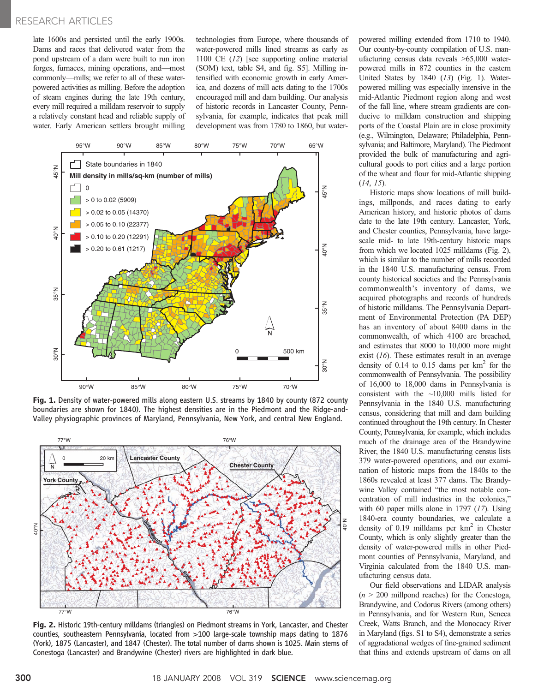## RESEARCH ARTICLES

late 1600s and persisted until the early 1900s. Dams and races that delivered water from the pond upstream of a dam were built to run iron forges, furnaces, mining operations, and—most commonly—mills; we refer to all of these waterpowered activities as milling. Before the adoption of steam engines during the late 19th century, every mill required a milldam reservoir to supply a relatively constant head and reliable supply of water. Early American settlers brought milling

technologies from Europe, where thousands of water-powered mills lined streams as early as 1100 CE (12) [see supporting online material (SOM) text, table S4, and fig. S5]. Milling intensified with economic growth in early America, and dozens of mill acts dating to the 1700s encouraged mill and dam building. Our analysis of historic records in Lancaster County, Pennsylvania, for example, indicates that peak mill development was from 1780 to 1860, but water-



Fig. 1. Density of water-powered mills along eastern U.S. streams by 1840 by county (872 county boundaries are shown for 1840). The highest densities are in the Piedmont and the Ridge-and-Valley physiographic provinces of Maryland, Pennsylvania, New York, and central New England.



Fig. 2. Historic 19th-century milldams (triangles) on Piedmont streams in York, Lancaster, and Chester counties, southeastern Pennsylvania, located from >100 large-scale township maps dating to 1876 (York), 1875 (Lancaster), and 1847 (Chester). The total number of dams shown is 1025. Main stems of Conestoga (Lancaster) and Brandywine (Chester) rivers are highlighted in dark blue.

powered milling extended from 1710 to 1940. Our county-by-county compilation of U.S. manufacturing census data reveals >65,000 waterpowered mills in 872 counties in the eastern United States by 1840 (13) (Fig. 1). Waterpowered milling was especially intensive in the mid-Atlantic Piedmont region along and west of the fall line, where stream gradients are conducive to milldam construction and shipping ports of the Coastal Plain are in close proximity (e.g., Wilmington, Delaware; Philadelphia, Pennsylvania; and Baltimore, Maryland). The Piedmont provided the bulk of manufacturing and agricultural goods to port cities and a large portion of the wheat and flour for mid-Atlantic shipping (14, 15).

Historic maps show locations of mill buildings, millponds, and races dating to early American history, and historic photos of dams date to the late 19th century. Lancaster, York, and Chester counties, Pennsylvania, have largescale mid- to late 19th-century historic maps from which we located 1025 milldams (Fig. 2), which is similar to the number of mills recorded in the 1840 U.S. manufacturing census. From county historical societies and the Pennsylvania commonwealth's inventory of dams, we acquired photographs and records of hundreds of historic milldams. The Pennsylvania Department of Environmental Protection (PA DEP) has an inventory of about 8400 dams in the commonwealth, of which 4100 are breached, and estimates that 8000 to 10,000 more might exist  $(16)$ . These estimates result in an average density of 0.14 to 0.15 dams per  $km<sup>2</sup>$  for the commonwealth of Pennsylvania. The possibility of 16,000 to 18,000 dams in Pennsylvania is consistent with the  $~10,000$  mills listed for Pennsylvania in the 1840 U.S. manufacturing census, considering that mill and dam building continued throughout the 19th century. In Chester County, Pennsylvania, for example, which includes much of the drainage area of the Brandywine River, the 1840 U.S. manufacturing census lists 379 water-powered operations, and our examination of historic maps from the 1840s to the 1860s revealed at least 377 dams. The Brandywine Valley contained "the most notable concentration of mill industries in the colonies," with 60 paper mills alone in 1797 (17). Using 1840-era county boundaries, we calculate a density of 0.19 milldams per  $km^2$  in Chester County, which is only slightly greater than the density of water-powered mills in other Piedmont counties of Pennsylvania, Maryland, and Virginia calculated from the 1840 U.S. manufacturing census data.

Our field observations and LIDAR analysis  $(n > 200$  millpond reaches) for the Conestoga, Brandywine, and Codorus Rivers (among others) in Pennsylvania, and for Western Run, Seneca Creek, Watts Branch, and the Monocacy River in Maryland (figs. S1 to S4), demonstrate a series of aggradational wedges of fine-grained sediment that thins and extends upstream of dams on all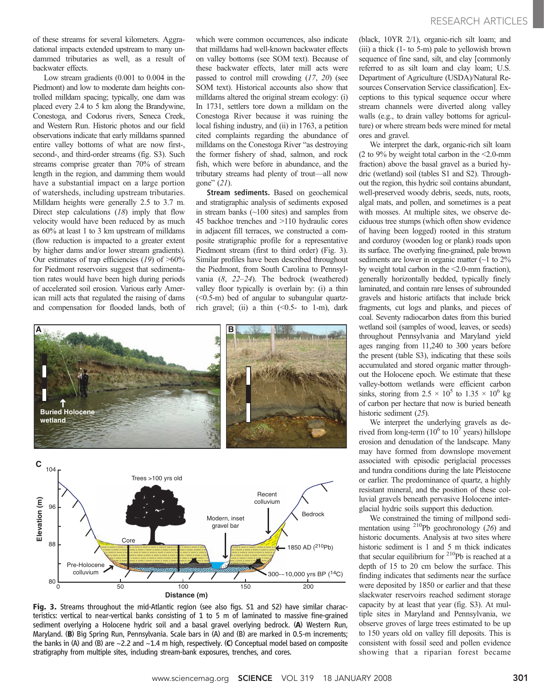of these streams for several kilometers. Aggradational impacts extended upstream to many undammed tributaries as well, as a result of backwater effects.

Low stream gradients (0.001 to 0.004 in the Piedmont) and low to moderate dam heights controlled milldam spacing; typically, one dam was placed every 2.4 to 5 km along the Brandywine, Conestoga, and Codorus rivers, Seneca Creek, and Western Run. Historic photos and our field observations indicate that early milldams spanned entire valley bottoms of what are now first-, second-, and third-order streams (fig. S3). Such streams comprise greater than 70% of stream length in the region, and damming them would have a substantial impact on a large portion of watersheds, including upstream tributaries. Milldam heights were generally 2.5 to 3.7 m. Direct step calculations (18) imply that flow velocity would have been reduced by as much as 60% at least 1 to 3 km upstream of milldams (flow reduction is impacted to a greater extent by higher dams and/or lower stream gradients). Our estimates of trap efficiencies  $(19)$  of  $>60\%$ for Piedmont reservoirs suggest that sedimentation rates would have been high during periods of accelerated soil erosion. Various early American mill acts that regulated the raising of dams and compensation for flooded lands, both of which were common occurrences, also indicate that milldams had well-known backwater effects on valley bottoms (see SOM text). Because of these backwater effects, later mill acts were passed to control mill crowding (17, 20) (see SOM text). Historical accounts also show that milldams altered the original stream ecology: (i) In 1731, settlers tore down a milldam on the Conestoga River because it was ruining the local fishing industry, and (ii) in 1763, a petition cited complaints regarding the abundance of milldams on the Conestoga River "as destroying the former fishery of shad, salmon, and rock fish, which were before in abundance, and the tributary streams had plenty of trout—all now gone" $(21)$ .

Stream sediments. Based on geochemical and stratigraphic analysis of sediments exposed in stream banks (~100 sites) and samples from 45 backhoe trenches and >110 hydraulic cores in adjacent fill terraces, we constructed a composite stratigraphic profile for a representative Piedmont stream (first to third order) (Fig. 3). Similar profiles have been described throughout the Piedmont, from South Carolina to Pennsylvania (8, 22–24). The bedrock (weathered) valley floor typically is overlain by: (i) a thin (<0.5-m) bed of angular to subangular quartzrich gravel; (ii) a thin (<0.5- to 1-m), dark





Fig. 3. Streams throughout the mid-Atlantic region (see also figs. S1 and S2) have similar characteristics: vertical to near-vertical banks consisting of 1 to 5 m of laminated to massive fine-grained sediment overlying a Holocene hydric soil and a basal gravel overlying bedrock. (A) Western Run, Maryland. (B) Big Spring Run, Pennsylvania. Scale bars in (A) and (B) are marked in 0.5-m increments; the banks in (A) and (B) are  $\sim$  2.2 and  $\sim$  1.4 m high, respectively. (C) Conceptual model based on composite stratigraphy from multiple sites, including stream-bank exposures, trenches, and cores.

(black, 10YR 2/1), organic-rich silt loam; and (iii) a thick (1- to 5-m) pale to yellowish brown sequence of fine sand, silt, and clay [commonly referred to as silt loam and clay loam; U.S. Department of Agriculture (USDA)/Natural Resources Conservation Service classification]. Exceptions to this typical sequence occur where stream channels were diverted along valley walls (e.g., to drain valley bottoms for agriculture) or where stream beds were mined for metal ores and gravel.

We interpret the dark, organic-rich silt loam (2 to 9% by weight total carbon in the <2.0-mm fraction) above the basal gravel as a buried hydric (wetland) soil (tables S1 and S2). Throughout the region, this hydric soil contains abundant, well-preserved woody debris, seeds, nuts, roots, algal mats, and pollen, and sometimes is a peat with mosses. At multiple sites, we observe deciduous tree stumps (which often show evidence of having been logged) rooted in this stratum and corduroy (wooden log or plank) roads upon its surface. The overlying fine-grained, pale brown sediments are lower in organic matter  $(-1)$  to  $2\%$ by weight total carbon in the <2.0-mm fraction), generally horizontally bedded, typically finely laminated, and contain rare lenses of subrounded gravels and historic artifacts that include brick fragments, cut logs and planks, and pieces of coal. Seventy radiocarbon dates from this buried wetland soil (samples of wood, leaves, or seeds) throughout Pennsylvania and Maryland yield ages ranging from 11,240 to 300 years before the present (table S3), indicating that these soils accumulated and stored organic matter throughout the Holocene epoch. We estimate that these valley-bottom wetlands were efficient carbon sinks, storing from  $2.5 \times 10^5$  to  $1.35 \times 10^6$  kg of carbon per hectare that now is buried beneath historic sediment (25).

We interpret the underlying gravels as derived from long-term  $(10^6$  to  $10^7$  years) hillslope erosion and denudation of the landscape. Many may have formed from downslope movement associated with episodic periglacial processes and tundra conditions during the late Pleistocene or earlier. The predominance of quartz, a highly resistant mineral, and the position of these colluvial gravels beneath pervasive Holocene interglacial hydric soils support this deduction.

We constrained the timing of millpond sedimentation using  $^{210}Pb$  geochronology (26) and historic documents. Analysis at two sites where historic sediment is 1 and 5 m thick indicates that secular equilibrium for <sup>210</sup>Pb is reached at a depth of 15 to 20 cm below the surface. This finding indicates that sediments near the surface were deposited by 1850 or earlier and that these slackwater reservoirs reached sediment storage capacity by at least that year (fig. S3). At multiple sites in Maryland and Pennsylvania, we observe groves of large trees estimated to be up to 150 years old on valley fill deposits. This is consistent with fossil seed and pollen evidence showing that a riparian forest became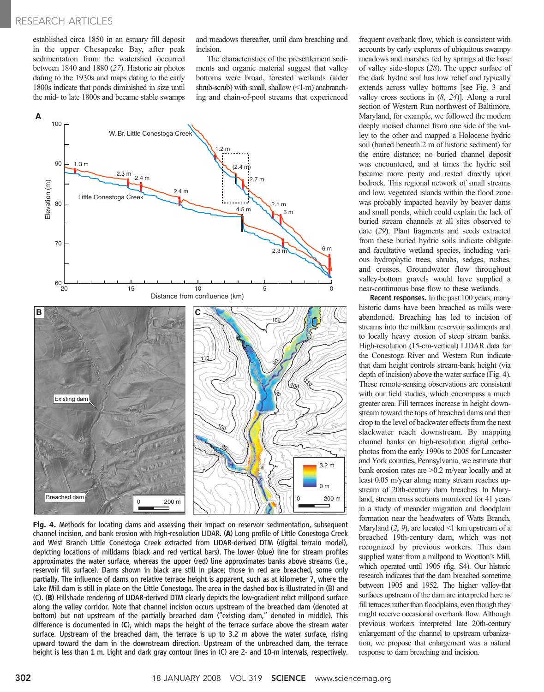established circa 1850 in an estuary fill deposit in the upper Chesapeake Bay, after peak sedimentation from the watershed occurred between 1840 and 1880 (27). Historic air photos dating to the 1930s and maps dating to the early 1800s indicate that ponds diminished in size until the mid- to late 1800s and became stable swamps

and meadows thereafter, until dam breaching and incision.

The characteristics of the presettlement sediments and organic material suggest that valley bottoms were broad, forested wetlands (alder shrub-scrub) with small, shallow  $(\leq1-m)$  anabranching and chain-of-pool streams that experienced



Fig. 4. Methods for locating dams and assessing their impact on reservoir sedimentation, subsequent channel incision, and bank erosion with high-resolution LIDAR. (A) Long profile of Little Conestoga Creek and West Branch Little Conestoga Creek extracted from LIDAR-derived DTM (digital terrain model), depicting locations of milldams (black and red vertical bars). The lower (blue) line for stream profiles approximates the water surface, whereas the upper (red) line approximates banks above streams (i.e., reservoir fill surface). Dams shown in black are still in place; those in red are breached, some only partially. The influence of dams on relative terrace height is apparent, such as at kilometer 7, where the Lake Mill dam is still in place on the Little Conestoga. The area in the dashed box is illustrated in (B) and (C). (B) Hillshade rendering of LIDAR-derived DTM clearly depicts the low-gradient relict millpond surface along the valley corridor. Note that channel incision occurs upstream of the breached dam (denoted at bottom) but not upstream of the partially breached dam ("existing dam," denoted in middle). This difference is documented in (C), which maps the height of the terrace surface above the stream water surface. Upstream of the breached dam, the terrace is up to 3.2 m above the water surface, rising upward toward the dam in the downstream direction. Upstream of the unbreached dam, the terrace height is less than 1 m. Light and dark gray contour lines in (C) are 2- and 10-m intervals, respectively.

frequent overbank flow, which is consistent with accounts by early explorers of ubiquitous swampy meadows and marshes fed by springs at the base of valley side-slopes (28). The upper surface of the dark hydric soil has low relief and typically extends across valley bottoms [see Fig. 3 and valley cross sections in  $(8, 24)$ ]. Along a rural section of Western Run northwest of Baltimore, Maryland, for example, we followed the modern deeply incised channel from one side of the valley to the other and mapped a Holocene hydric soil (buried beneath 2 m of historic sediment) for the entire distance; no buried channel deposit was encountered, and at times the hydric soil became more peaty and rested directly upon bedrock. This regional network of small streams and low, vegetated islands within the flood zone was probably impacted heavily by beaver dams and small ponds, which could explain the lack of buried stream channels at all sites observed to date (29). Plant fragments and seeds extracted from these buried hydric soils indicate obligate and facultative wetland species, including various hydrophytic trees, shrubs, sedges, rushes, and cresses. Groundwater flow throughout valley-bottom gravels would have supplied a near-continuous base flow to these wetlands.

Recent responses. In the past 100 years, many historic dams have been breached as mills were abandoned. Breaching has led to incision of streams into the milldam reservoir sediments and to locally heavy erosion of steep stream banks. High-resolution (15-cm-vertical) LIDAR data for the Conestoga River and Western Run indicate that dam height controls stream-bank height (via depth of incision) above the water surface (Fig. 4). These remote-sensing observations are consistent with our field studies, which encompass a much greater area. Fill terraces increase in height downstream toward the tops of breached dams and then drop to the level of backwater effects from the next slackwater reach downstream. By mapping channel banks on high-resolution digital orthophotos from the early 1990s to 2005 for Lancaster and York counties, Pennsylvania, we estimate that bank erosion rates are >0.2 m/year locally and at least 0.05 m/year along many stream reaches upstream of 20th-century dam breaches. In Maryland, stream cross sections monitored for 41 years in a study of meander migration and floodplain formation near the headwaters of Watts Branch, Maryland  $(2, 9)$ , are located  $\leq 1$  km upstream of a breached 19th-century dam, which was not recognized by previous workers. This dam supplied water from a millpond to Wootton's Mill, which operated until 1905 (fig. S4). Our historic research indicates that the dam breached sometime between 1905 and 1952. The higher valley-flat surfaces upstream of the dam are interpreted here as fill terraces rather than floodplains, even though they might receive occasional overbank flow. Although previous workers interpreted late 20th-century enlargement of the channel to upstream urbanization, we propose that enlargement was a natural response to dam breaching and incision.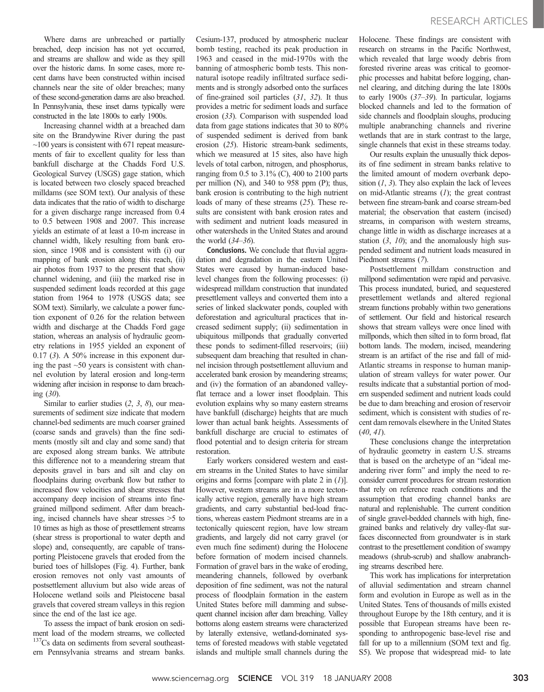Where dams are unbreached or partially breached, deep incision has not yet occurred, and streams are shallow and wide as they spill over the historic dams. In some cases, more recent dams have been constructed within incised channels near the site of older breaches; many of these second-generation dams are also breached. In Pennsylvania, these inset dams typically were constructed in the late 1800s to early 1900s.

Increasing channel width at a breached dam site on the Brandywine River during the past  $\sim$ 100 years is consistent with 671 repeat measurements of fair to excellent quality for less than bankfull discharge at the Chadds Ford U.S. Geological Survey (USGS) gage station, which is located between two closely spaced breached milldams (see SOM text). Our analysis of these data indicates that the ratio of width to discharge for a given discharge range increased from 0.4 to 0.5 between 1908 and 2007. This increase yields an estimate of at least a 10-m increase in channel width, likely resulting from bank erosion, since 1908 and is consistent with (i) our mapping of bank erosion along this reach, (ii) air photos from 1937 to the present that show channel widening, and (iii) the marked rise in suspended sediment loads recorded at this gage station from 1964 to 1978 (USGS data; see SOM text). Similarly, we calculate a power function exponent of 0.26 for the relation between width and discharge at the Chadds Ford gage station, whereas an analysis of hydraulic geometry relations in 1955 yielded an exponent of  $0.17$  (3). A 50% increase in this exponent during the past  $\sim$  50 years is consistent with channel evolution by lateral erosion and long-term widening after incision in response to dam breaching (30).

Similar to earlier studies (2, 3, 8), our measurements of sediment size indicate that modern channel-bed sediments are much coarser grained (coarse sands and gravels) than the fine sediments (mostly silt and clay and some sand) that are exposed along stream banks. We attribute this difference not to a meandering stream that deposits gravel in bars and silt and clay on floodplains during overbank flow but rather to increased flow velocities and shear stresses that accompany deep incision of streams into finegrained millpond sediment. After dam breaching, incised channels have shear stresses >5 to 10 times as high as those of presettlement streams (shear stress is proportional to water depth and slope) and, consequently, are capable of transporting Pleistocene gravels that eroded from the buried toes of hillslopes (Fig. 4). Further, bank erosion removes not only vast amounts of postsettlement alluvium but also wide areas of Holocene wetland soils and Pleistocene basal gravels that covered stream valleys in this region since the end of the last ice age.

To assess the impact of bank erosion on sediment load of the modern streams, we collected <sup>137</sup>Cs data on sediments from several southeastern Pennsylvania streams and stream banks.

Cesium-137, produced by atmospheric nuclear bomb testing, reached its peak production in 1963 and ceased in the mid-1970s with the banning of atmospheric bomb tests. This nonnatural isotope readily infiltrated surface sediments and is strongly adsorbed onto the surfaces of fine-grained soil particles (31, 32). It thus provides a metric for sediment loads and surface erosion (33). Comparison with suspended load data from gage stations indicates that 30 to 80% of suspended sediment is derived from bank erosion (25). Historic stream-bank sediments, which we measured at 15 sites, also have high levels of total carbon, nitrogen, and phosphorus, ranging from 0.5 to 3.1% (C), 400 to 2100 parts per million (N), and 340 to 958 ppm (P); thus, bank erosion is contributing to the high nutrient loads of many of these streams (25). These results are consistent with bank erosion rates and with sediment and nutrient loads measured in other watersheds in the United States and around the world (34–36).

Conclusions. We conclude that fluvial aggradation and degradation in the eastern United States were caused by human-induced baselevel changes from the following processes: (i) widespread milldam construction that inundated presettlement valleys and converted them into a series of linked slackwater ponds, coupled with deforestation and agricultural practices that increased sediment supply; (ii) sedimentation in ubiquitous millponds that gradually converted these ponds to sediment-filled reservoirs; (iii) subsequent dam breaching that resulted in channel incision through postsettlement alluvium and accelerated bank erosion by meandering streams; and (iv) the formation of an abandoned valleyflat terrace and a lower inset floodplain. This evolution explains why so many eastern streams have bankfull (discharge) heights that are much lower than actual bank heights. Assessments of bankfull discharge are crucial to estimates of flood potential and to design criteria for stream restoration.

Early workers considered western and eastern streams in the United States to have similar origins and forms [compare with plate  $2$  in  $(I)$ ]. However, western streams are in a more tectonically active region, generally have high stream gradients, and carry substantial bed-load fractions, whereas eastern Piedmont streams are in a tectonically quiescent region, have low stream gradients, and largely did not carry gravel (or even much fine sediment) during the Holocene before formation of modern incised channels. Formation of gravel bars in the wake of eroding, meandering channels, followed by overbank deposition of fine sediment, was not the natural process of floodplain formation in the eastern United States before mill damming and subsequent channel incision after dam breaching. Valley bottoms along eastern streams were characterized by laterally extensive, wetland-dominated systems of forested meadows with stable vegetated islands and multiple small channels during the

Holocene. These findings are consistent with research on streams in the Pacific Northwest, which revealed that large woody debris from forested riverine areas was critical to geomorphic processes and habitat before logging, channel clearing, and ditching during the late 1800s to early 1900s (37–39). In particular, logjams blocked channels and led to the formation of side channels and floodplain sloughs, producing multiple anabranching channels and riverine wetlands that are in stark contrast to the large, single channels that exist in these streams today.

Our results explain the unusually thick deposits of fine sediment in stream banks relative to the limited amount of modern overbank deposition  $(1, 3)$ . They also explain the lack of levees on mid-Atlantic streams  $(1)$ ; the great contrast between fine stream-bank and coarse stream-bed material; the observation that eastern (incised) streams, in comparison with western streams, change little in width as discharge increases at a station  $(3, 10)$ ; and the anomalously high suspended sediment and nutrient loads measured in Piedmont streams (7).

Postsettlement milldam construction and millpond sedimentation were rapid and pervasive. This process inundated, buried, and sequestered presettlement wetlands and altered regional stream functions probably within two generations of settlement. Our field and historical research shows that stream valleys were once lined with millponds, which then silted in to form broad, flat bottom lands. The modern, incised, meandering stream is an artifact of the rise and fall of mid-Atlantic streams in response to human manipulation of stream valleys for water power. Our results indicate that a substantial portion of modern suspended sediment and nutrient loads could be due to dam breaching and erosion of reservoir sediment, which is consistent with studies of recent dam removals elsewhere in the United States  $(40, 41)$ .

These conclusions change the interpretation of hydraulic geometry in eastern U.S. streams that is based on the archetype of an "ideal meandering river form" and imply the need to reconsider current procedures for stream restoration that rely on reference reach conditions and the assumption that eroding channel banks are natural and replenishable. The current condition of single gravel-bedded channels with high, finegrained banks and relatively dry valley-flat surfaces disconnected from groundwater is in stark contrast to the presettlement condition of swampy meadows (shrub-scrub) and shallow anabranching streams described here.

This work has implications for interpretation of alluvial sedimentation and stream channel form and evolution in Europe as well as in the United States. Tens of thousands of mills existed throughout Europe by the 18th century, and it is possible that European streams have been responding to anthropogenic base-level rise and fall for up to a millennium (SOM text and fig. S5). We propose that widespread mid- to late